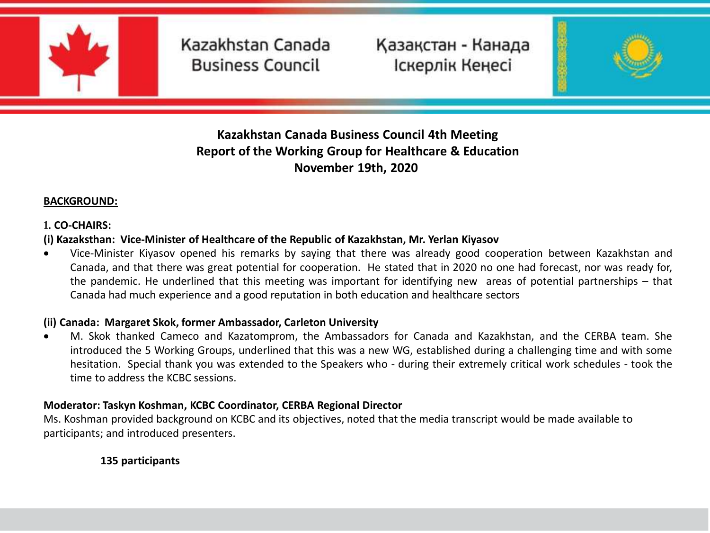

Қазақстан - Канада Іскерлік Кеңесі

**4**



## **Kazakhstan Canada Business Council Kazakhstan Canada Business Council 4th Meeting Report of the Working Group for Healthcare & Education November 19th, 2020**

#### **BACKGROUND:**

#### **1. CO-CHAIRS:**

#### **(i) Kazaksthan: Vice-Minister of Healthcare of the Republic of Kazakhstan, Mr. Yerlan Kiyasov**

 Vice-Minister Kiyasov opened his remarks by saying that there was already good cooperation between Kazakhstan and Canada, and that there was great potential for cooperation. He stated that in 2020 no one had forecast, nor was ready for, the pandemic. He underlined that this meeting was important for identifying new areas of potential partnerships – that Canada had much experience and a good reputation in both education and healthcare sectors

#### **(ii) Canada: Margaret Skok, former Ambassador, Carleton University**

 M. Skok thanked Cameco and Kazatomprom, the Ambassadors for Canada and Kazakhstan, and the CERBA team. She introduced the 5 Working Groups, underlined that this was a new WG, established during a challenging time and with some hesitation. Special thank you was extended to the Speakers who - during their extremely critical work schedules - took the time to address the KCBC sessions.

#### **Moderator: Taskyn Koshman, KCBC Coordinator, CERBA Regional Director**

Ms. Koshman provided background on KCBC and its objectives, noted that the media transcript would be made available to participants; and introduced presenters.

#### **135 participants**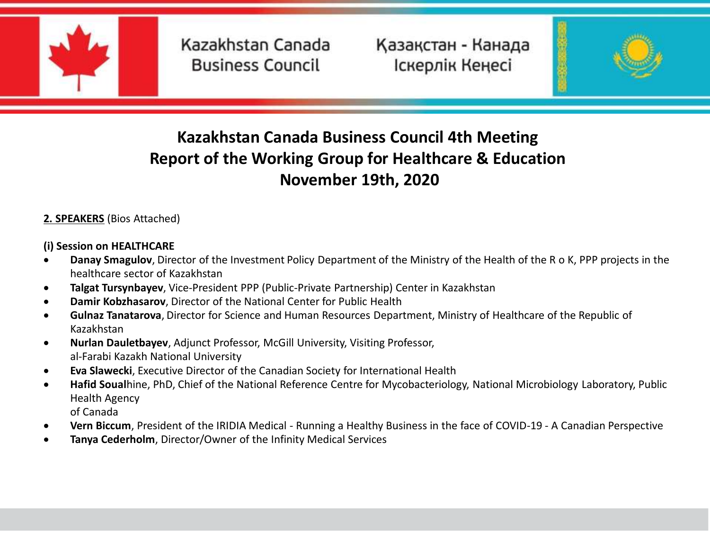

Қазақстан - Канада Іскерлік Кеңесі

**4**



# **Kazakhstan Canada Business Council Kazakhstan Canada Business Council 4th Meeting Report of the Working Group for Healthcare & Education November 19th, 2020**

#### **2. SPEAKERS** (Bios Attached)

#### **(i) Session on HEALTHCARE**

- **Danay Smagulov**, Director of the Investment Policy Department of the Ministry of the Health of the R o K, PPP projects in the healthcare sector of Kazakhstan
- **Talgat Tursynbayev**, Vice-President PPP (Public-Private Partnership) Center in Kazakhstan
- **Damir Kobzhasarov**, Director of the National Center for Public Health
- **Gulnaz Tanatarova**, Director for Science and Human Resources Department, Ministry of Healthcare of the Republic of Kazakhstan
- **Nurlan Dauletbayev**, Adjunct Professor, McGill University, Visiting Professor, al-Farabi Kazakh National University
- **Eva Slawecki**, Executive Director of the Canadian Society for International Health
- **Hafid Soual**hine, PhD, Chief of the National Reference Centre for Mycobacteriology, National Microbiology Laboratory, Public Health Agency

of Canada

- **Vern Biccum**, President of the IRIDIA Medical Running a Healthy Business in the face of COVID-19 A Canadian Perspective
- **Tanya Cederholm**, Director/Owner of the Infinity Medical Services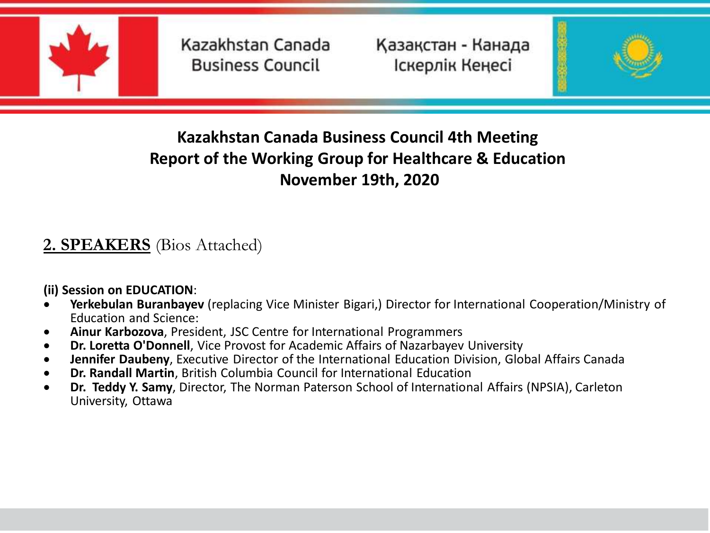

Қазақстан - Канада Іскерлік Кеңесі

**4**



# **Kazakhstan Canada Business Council Kazakhstan Canada Business Council 4th Meeting Report of the Working Group for Healthcare & Education November 19th, 2020**

# **2. SPEAKERS** (Bios Attached)

**(ii) Session on EDUCATION**:

- **Yerkebulan Buranbayev** (replacing Vice Minister Bigari,) Director for International Cooperation/Ministry of Education and Science:
- **Ainur Karbozova**, President, JSC Centre for International Programmers
- **Dr. Loretta O'Donnell**, Vice Provost for Academic Affairs of Nazarbayev University
- **Jennifer Daubeny**, Executive Director of the International Education Division, Global Affairs Canada
- **Dr. Randall Martin**, British Columbia Council for International Education
- **Dr. Teddy Y. Samy**, Director, The Norman Paterson School of International Affairs (NPSIA), Carleton University, Ottawa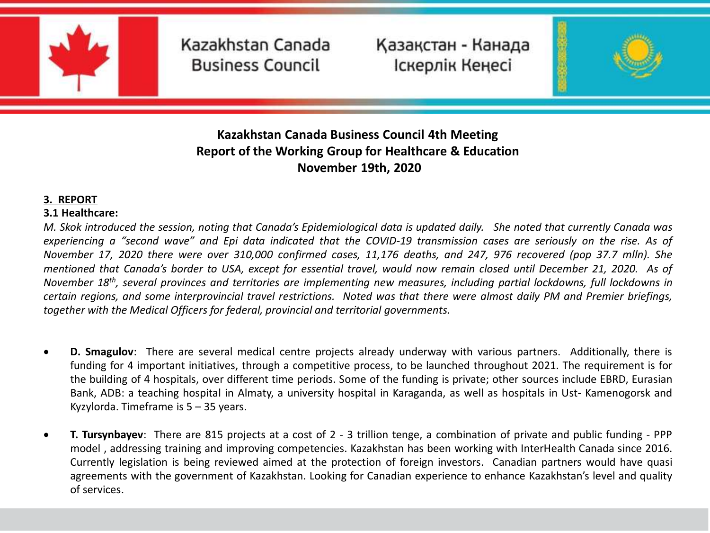

Қазақстан - Канада Іскерлік Кеңесі

**4**



## **Kazakhstan Canada Business Council Kazakhstan Canada Business Council 4th Meeting Report of the Working Group for Healthcare & Education November 19th, 2020**

#### **3. REPORT**

#### **3.1 Healthcare:**

M. Skok introduced the session, noting that Canada's Epidemiological data is updated daily. She noted that currently Canada was experiencing a "second wave" and Epi data indicated that the COVID-19 transmission cases are seriously on the rise. As of November 17, 2020 there were over 310,000 confirmed cases, 11,176 deaths, and 247, 976 recovered (pop 37.7 mlln). She mentioned that Canada's border to USA, except for essential travel, would now remain closed until December 21, 2020. As of November 18<sup>th</sup>, several provinces and territories are implementing new measures, including partial lockdowns, full lockdowns in certain regions, and some interprovincial travel restrictions. Noted was that there were almost daily PM and Premier briefings, *together with the Medical Officers for federal, provincial and territorial governments.*

- **D. Smagulov**: There are several medical centre projects already underway with various partners. Additionally, there is funding for 4 important initiatives, through a competitive process, to be launched throughout 2021. The requirement is for the building of 4 hospitals, over different time periods. Some of the funding is private; other sources include EBRD, Eurasian Bank, ADB: a teaching hospital in Almaty, a university hospital in Karaganda, as well as hospitals in Ust- Kamenogorsk and Kyzylorda. Timeframe is  $5 - 35$  years.
- **T. Tursynbayev**: There are 815 projects at a cost of 2 3 trillion tenge, a combination of private and public funding PPP model , addressing training and improving competencies. Kazakhstan has been working with InterHealth Canada since 2016. Currently legislation is being reviewed aimed at the protection of foreign investors. Canadian partners would have quasi agreements with the government of Kazakhstan. Looking for Canadian experience to enhance Kazakhstan's level and quality of services.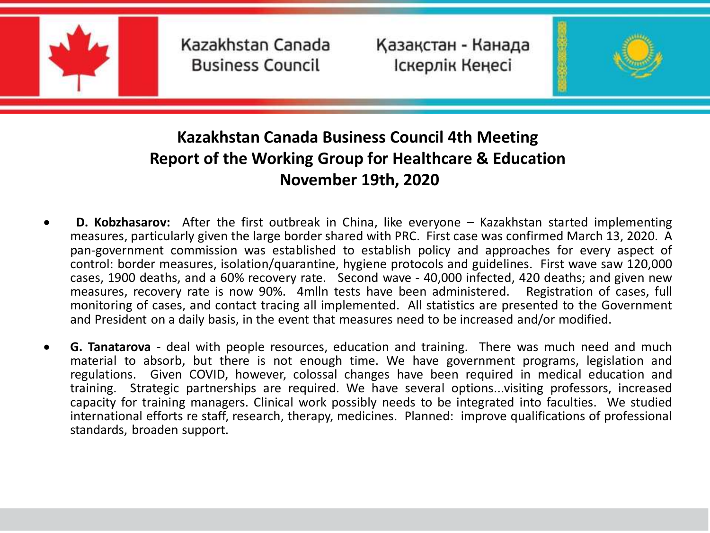

Қазақстан - Канада Іскерлік Кеңесі

**4**



- **D. Kobzhasarov:** After the first outbreak in China, like everyone Kazakhstan started implementing measures, particularly given the large border shared with PRC. First case was confirmed March 13, 2020. A pan-government commission was established to establish policy and approaches for every aspect of control: border measures, isolation/quarantine, hygiene protocols and guidelines. First wave saw 120,000 cases, 1900 deaths, and a 60% recovery rate. Second wave - 40,000 infected, 420 deaths; and given new measures, recovery rate is now 90%. 4mlln tests have been administered. Registration of cases, full monitoring of cases, and contact tracing all implemented. All statistics are presented to the Government and President on a daily basis, in the event that measures need to be increased and/or modified.
- **G. Tanatarova** deal with people resources, education and training. There was much need and much material to absorb, but there is not enough time. We have government programs, legislation and regulations. Given COVID, however, colossal changes have been required in medical education and training. Strategic partnerships are required. We have several options...visiting professors, increased capacity for training managers. Clinical work possibly needs to be integrated into faculties. We studied international efforts re staff, research, therapy, medicines. Planned: improve qualifications of professional standards, broaden support.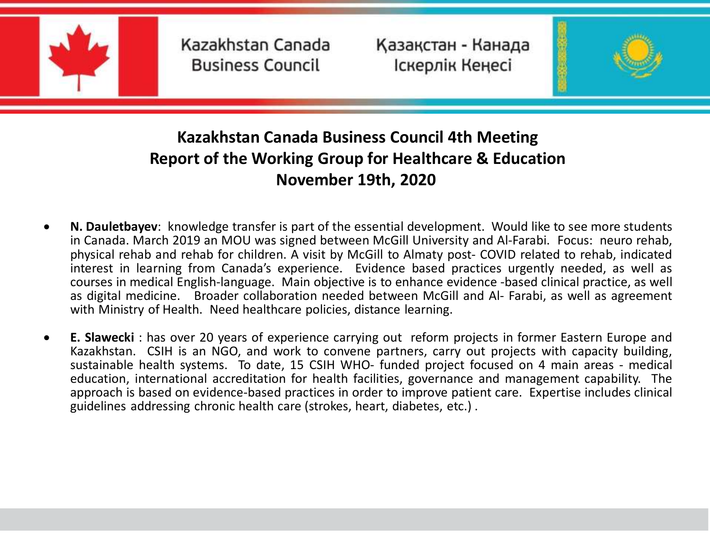

Қазақстан - Канада Іскерлік Кеңесі

**4**



- **N. Dauletbayev**: knowledge transfer is part of the essential development. Would like to see more students in Canada. March 2019 an MOU was signed between McGill University and Al-Farabi. Focus: neuro rehab, physical rehab and rehab for children. A visit by McGill to Almaty post- COVID related to rehab, indicated interest in learning from Canada's experience. Evidence based practices urgently needed, as well as courses in medical English-language. Main objective is to enhance evidence -based clinical practice, as well as digital medicine. Broader collaboration needed between McGill and Al- Farabi, as well as agreement with Ministry of Health. Need healthcare policies, distance learning.
- **E. Slawecki** : has over 20 years of experience carrying out reform projects in former Eastern Europe and Kazakhstan. CSIH is an NGO, and work to convene partners, carry out projects with capacity building, sustainable health systems. To date, 15 CSIH WHO- funded project focused on 4 main areas - medical education, international accreditation for health facilities, governance and management capability. The approach is based on evidence-based practices in order to improve patient care. Expertise includes clinical guidelines addressing chronic health care (strokes, heart, diabetes, etc.) .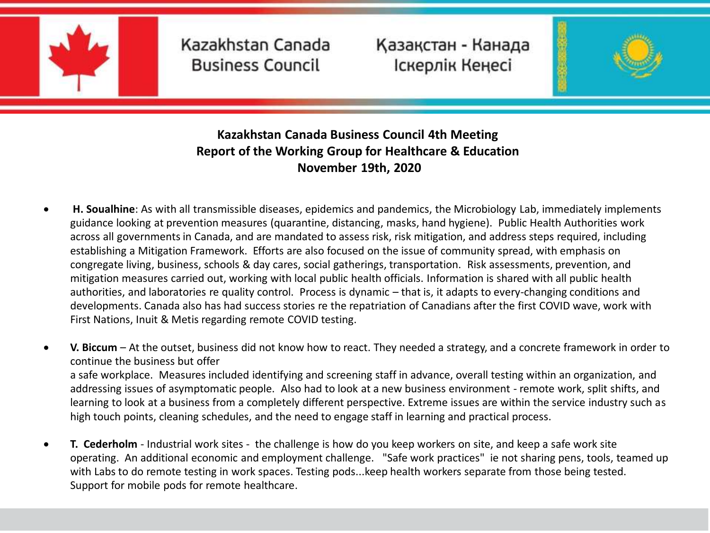

Қазақстан - Канада Іскерлік Кеңесі

**4**



## **Kazakhstan Canada Business Council Kazakhstan Canada Business Council 4th Meeting Report of the Working Group for Healthcare & Education November 19th, 2020**

 **H. Soualhine**: As with all transmissible diseases, epidemics and pandemics, the Microbiology Lab, immediately implements guidance looking at prevention measures (quarantine, distancing, masks, hand hygiene). Public Health Authorities work across all governments in Canada, and are mandated to assess risk, risk mitigation, and address steps required, including establishing a Mitigation Framework. Efforts are also focused on the issue of community spread, with emphasis on congregate living, business, schools & day cares, social gatherings, transportation. Risk assessments, prevention, and mitigation measures carried out, working with local public health officials. Information is shared with all public health authorities, and laboratories re quality control. Process is dynamic – that is, it adapts to every-changing conditions and developments. Canada also has had success stories re the repatriation of Canadians after the first COVID wave, work with First Nations, Inuit & Metis regarding remote COVID testing.

 **V. Biccum** – At the outset, business did not know how to react. They needed a strategy, and a concrete framework in order to continue the business but offer a safe workplace. Measures included identifying and screening staff in advance, overall testing within an organization, and addressing issues of asymptomatic people. Also had to look at a new business environment - remote work, split shifts, and learning to look at a business from a completely different perspective. Extreme issues are within the service industry such as high touch points, cleaning schedules, and the need to engage staff in learning and practical process.

 **T. Cederholm** - Industrial work sites - the challenge is how do you keep workers on site, and keep a safe work site operating. An additional economic and employment challenge. "Safe work practices" ie not sharing pens, tools, teamed up with Labs to do remote testing in work spaces. Testing pods...keep health workers separate from those being tested. Support for mobile pods for remote healthcare.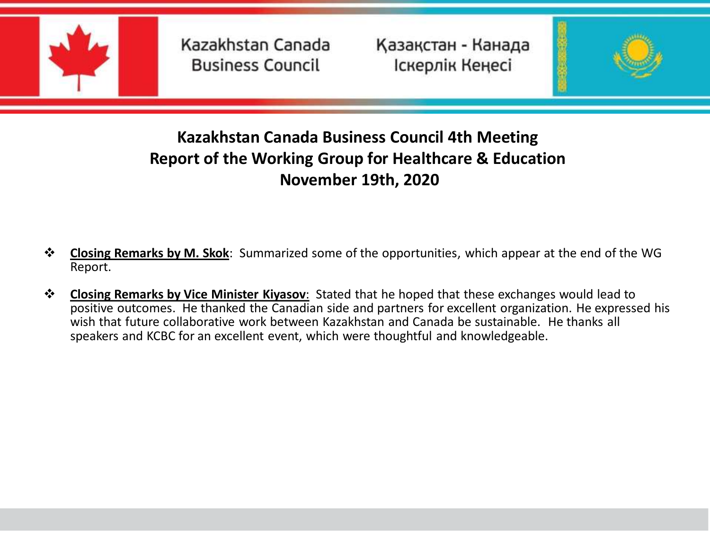

Қазақстан - Канада Іскерлік Кеңесі

**4**



- **Closing Remarks by M. Skok**: Summarized some of the opportunities, which appear at the end of the WG Report.
- **Closing Remarks by Vice Minister Kiyasov**: Stated that he hoped that these exchanges would lead to positive outcomes. He thanked the Canadian side and partners for excellent organization. He expressed his wish that future collaborative work between Kazakhstan and Canada be sustainable. He thanks all speakers and KCBC for an excellent event, which were thoughtful and knowledgeable.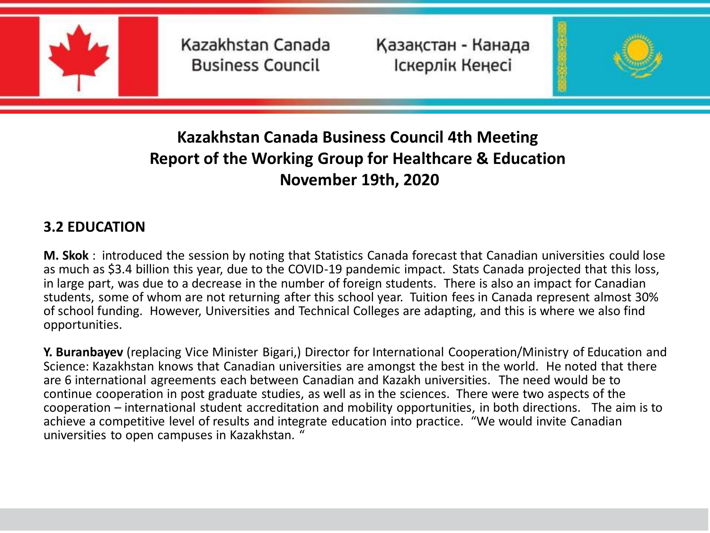

Қазақстан - Канада Іскерлік Кеңесі

**4**



# **Kazakhstan Canada Business Council Kazakhstan Canada Business Council 4th Meeting Report of the Working Group for Healthcare & Education November 19th, 2020**

## **3.2 EDUCATION**

**M. Skok** : introduced the session by noting that Statistics Canada forecast that Canadian universities could lose as much as \$3.4 billion this year, due to the COVID-19 pandemic impact. Stats Canada projected that this loss, in large part, was due to a decrease in the number of foreign students. There is also an impact for Canadian students, some of whom are not returning after this school year. Tuition fees in Canada represent almost 30% of school funding. However, Universities and Technical Colleges are adapting, and this is where we also find opportunities.

**Y. Buranbayev** (replacing Vice Minister Bigari,) Director for International Cooperation/Ministry of Education and Science: Kazakhstan knows that Canadian universities are amongst the best in the world. He noted that there are 6 international agreements each between Canadian and Kazakh universities. The need would be to continue cooperation in post graduate studies, as well as in the sciences. There were two aspects of the cooperation – international student accreditation and mobility opportunities, in both directions. The aim is to achieve a competitive level of results and integrate education into practice. "We would invite Canadian universities to open campuses in Kazakhstan. "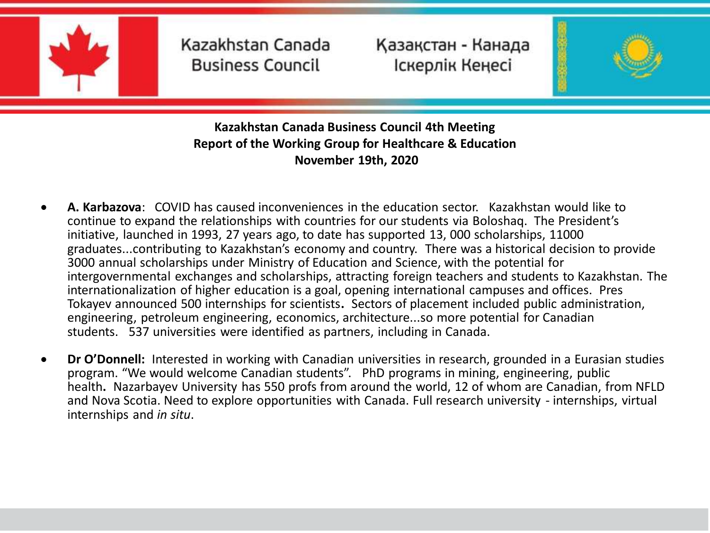

Қазақстан - Канада Іскерлік Кеңесі

**4**



- **A. Karbazova**: COVID has caused inconveniences in the education sector. Kazakhstan would like to continue to expand the relationships with countries for our students via Boloshaq. The President's initiative, launched in 1993, 27 years ago, to date has supported 13, 000 scholarships, 11000 graduates...contributing to Kazakhstan's economy and country. There was a historical decision to provide 3000 annual scholarships under Ministry of Education and Science, with the potential for intergovernmental exchanges and scholarships, attracting foreign teachers and students to Kazakhstan. The internationalization of higher education is a goal, opening international campuses and offices. Pres Tokayev announced 500 internships for scientists**.** Sectors of placement included public administration, engineering, petroleum engineering, economics, architecture...so more potential for Canadian students. 537 universities were identified as partners, including in Canada.
- **Dr O'Donnell:** Interested in working with Canadian universities in research, grounded in a Eurasian studies program. "We would welcome Canadian students". PhD programs in mining, engineering, public health**.** Nazarbayev University has 550 profs from around the world, 12 of whom are Canadian, from NFLD and Nova Scotia. Need to explore opportunities with Canada. Full research university - internships, virtual internships and *in situ*.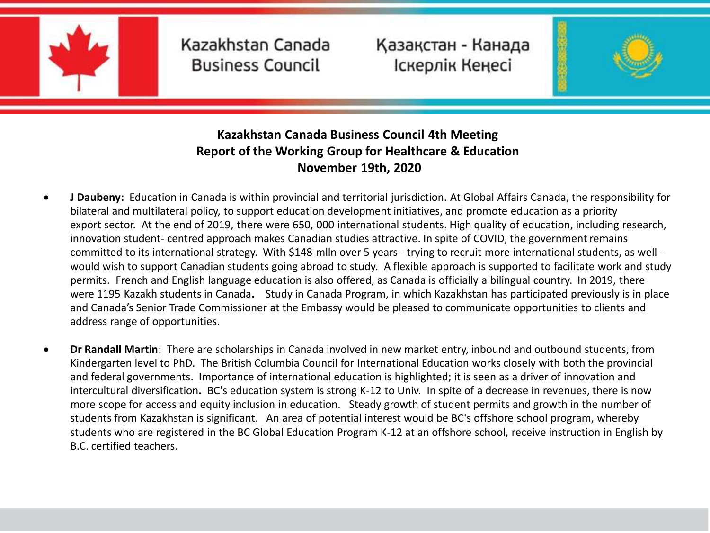

Қазақстан - Канада Іскерлік Кеңесі

**4**



- **J Daubeny:** Education in Canada is within provincial and territorial jurisdiction. At Global Affairs Canada, the responsibility for bilateral and multilateral policy, to support education development initiatives, and promote education as a priority export sector. At the end of 2019, there were 650, 000 international students. High quality of education, including research, innovation student- centred approach makes Canadian studies attractive. In spite of COVID, the government remains committed to its international strategy. With \$148 mlln over 5 years - trying to recruit more international students, as well would wish to support Canadian students going abroad to study. A flexible approach is supported to facilitate work and study permits. French and English language education is also offered, as Canada is officially a bilingual country. In 2019, there were 1195 Kazakh students in Canada**.** Study in Canada Program, in which Kazakhstan has participated previously is in place and Canada's Senior Trade Commissioner at the Embassy would be pleased to communicate opportunities to clients and address range of opportunities.
- **Dr Randall Martin**: There are scholarships in Canada involved in new market entry, inbound and outbound students, from Kindergarten level to PhD. The British Columbia Council for International Education works closely with both the provincial and federal governments. Importance of international education is highlighted; it is seen as a driver of innovation and intercultural diversification**.** BC's education system is strong K-12 to Univ. In spite of a decrease in revenues, there is now more scope for access and equity inclusion in education. Steady growth of student permits and growth in the number of students from Kazakhstan is significant. An area of potential interest would be BC's offshore school program, whereby students who are registered in the BC Global Education Program K-12 at an offshore school, receive instruction in English by B.C. certified teachers.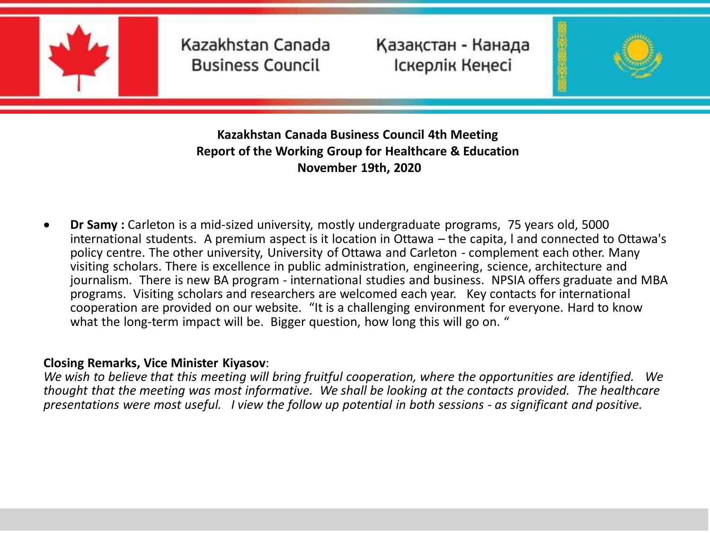

Қазақстан - Канада Іскерлік Кеңесі

**4**



**Kazakhstan Canada Business Council Kazakhstan Canada Business Council 4th Meeting Report of the Working Group for Healthcare & Education November 19th, 2020** 

**Dr Samy** : Carleton is a mid-sized university, mostly undergraduate programs, 75 years old, 5000 international students. A premium aspect is it location in Ottawa – the capita, l and connected to Ottawa's policy centre. The other university, University of Ottawa and Carleton - complement each other. Many visiting scholars. There is excellence in public administration, engineering, science, architecture and journalism. There is new BA program - international studies and business. NPSIA offers graduate and MBA programs. Visiting scholars and researchers are welcomed each year. Key contacts for international cooperation are provided on our website. "It is a challenging environment for everyone. Hard to know what the long-term impact will be. Bigger question, how long this will go on. "

#### **Closing Remarks, Vice Minister Kiyasov**:

*We wish to believe that this meeting will bring fruitful cooperation, where the opportunities are identified. We thought that the meeting was most informative. We shall be looking at the contacts provided. The healthcare presentations were most useful. I view the follow up potential in both sessions - as significant and positive.*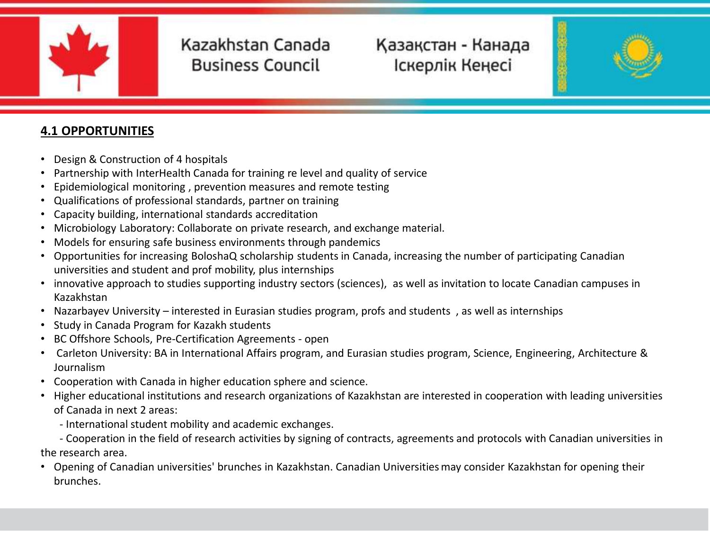

# Қазақстан - Канада Іскерлік Кеңесі

**4**

**Kazakhstan Canada Business Council**



### **4.1 OPPORTUNITIES**

- Design & Construction of 4 hospitals
- Partnership with InterHealth Canada for training re level and quality of service
- Epidemiological monitoring , prevention measures and remote testing
- Qualifications of professional standards, partner on training
- Capacity building, international standards accreditation
- Microbiology Laboratory: Collaborate on private research, and exchange material.
- Models for ensuring safe business environments through pandemics
- Opportunities for increasing BoloshaQ scholarship students in Canada, increasing the number of participating Canadian universities and student and prof mobility, plus internships
- innovative approach to studies supporting industry sectors (sciences), as well as invitation to locate Canadian campuses in Kazakhstan
- Nazarbayev University interested in Eurasian studies program, profs and students , as well as internships
- Study in Canada Program for Kazakh students
- BC Offshore Schools, Pre-Certification Agreements open
- Carleton University: BA in International Affairs program, and Eurasian studies program, Science, Engineering, Architecture & Journalism
- Cooperation with Canada in higher education sphere and science.
- Higher educational institutions and research organizations of Kazakhstan are interested in cooperation with leading universities of Canada in next 2 areas:
	- International student mobility and academic exchanges.

- Cooperation in the field of research activities by signing of contracts, agreements and protocols with Canadian universities in the research area.

• Opening of Canadian universities' brunches in Kazakhstan. Canadian Universitiesmay consider Kazakhstan for opening their brunches.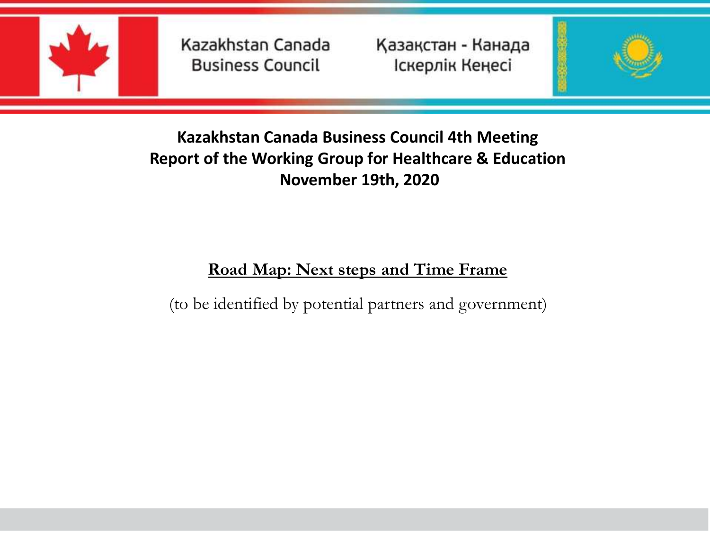

Қазақстан - Канада Іскерлік Кеңесі

**4**



# **Kazakhstan Canada Business Council Kazakhstan Canada Business Council 4th Meeting Report of the Working Group for Healthcare & Education November 19th, 2020**

# **Road Map: Next steps and Time Frame**

(to be identified by potential partners and government)